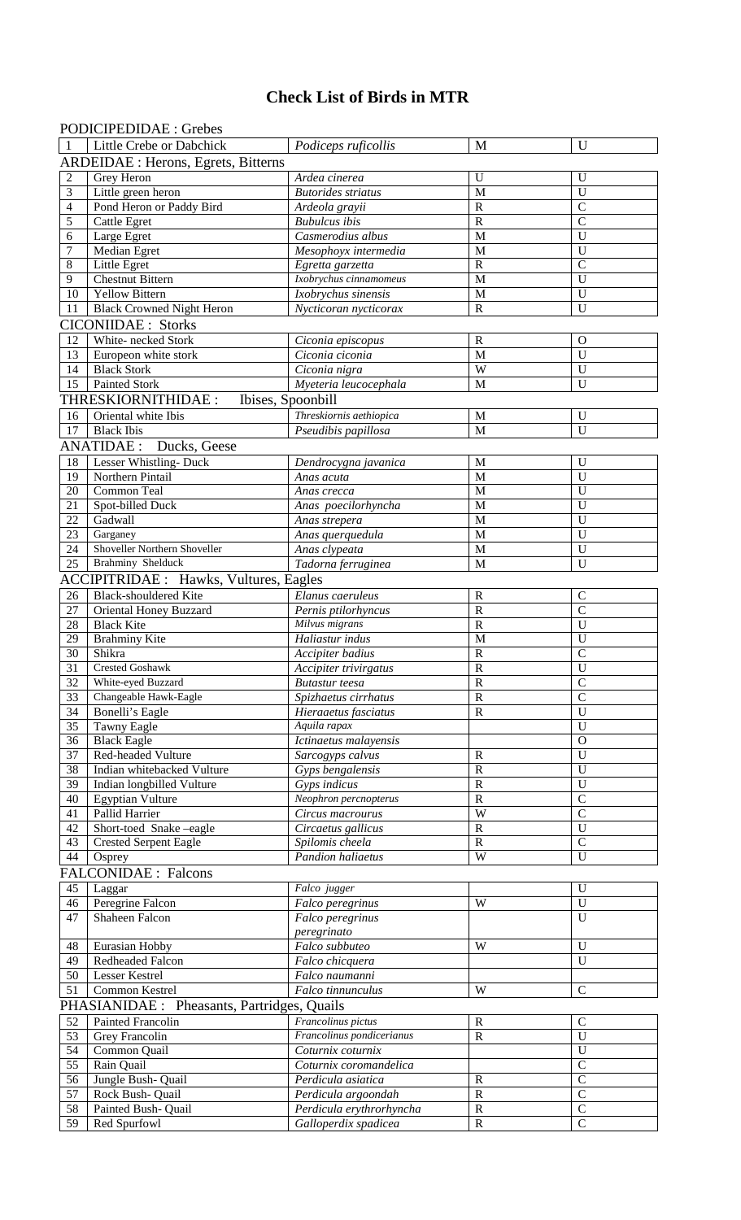# **Check List of Birds in MTR**

# PODICIPEDIDAE : Grebes

| $\mathbf{1}$     | Little Crebe or Dabchick                      | Podiceps ruficollis       | M                     | $\mathbf U$    |
|------------------|-----------------------------------------------|---------------------------|-----------------------|----------------|
|                  | ARDEIDAE : Herons, Egrets, Bitterns           |                           |                       |                |
| $\overline{2}$   | Grey Heron                                    | Ardea cinerea             | U                     | U              |
| $\mathfrak{Z}$   | Little green heron                            | <b>Butorides</b> striatus | $\mathbf M$           | U              |
| $\overline{4}$   | Pond Heron or Paddy Bird                      | Ardeola grayii            | $\mathbf R$           | $\mathcal{C}$  |
| 5                | <b>Cattle Egret</b>                           | <b>Bubulcus</b> ibis      | $\overline{\text{R}}$ | $\overline{C}$ |
| 6                | Large Egret                                   | Casmerodius albus         | M                     | $\mathbf U$    |
| $\boldsymbol{7}$ | Median Egret                                  | Mesophoyx intermedia      | $\mathbf M$           | U              |
| 8                | Little Egret                                  | Egretta garzetta          | $\mathbf R$           | $\mathcal{C}$  |
| 9                | <b>Chestnut Bittern</b>                       | Ixobrychus cinnamomeus    | $\mathbf M$           | U              |
| 10               | <b>Yellow Bittern</b>                         | Ixobrychus sinensis       | $\mathbf M$           | U              |
| 11               | <b>Black Crowned Night Heron</b>              | Nycticoran nycticorax     | $\mathbf R$           | $\mathbf U$    |
|                  | <b>CICONIIDAE</b> : Storks                    |                           |                       |                |
| 12               | White- necked Stork                           | Ciconia episcopus         | $\mathbb{R}$          | $\mathbf{O}$   |
| 13               | Europeon white stork                          | Ciconia ciconia           | $\mathbf M$           | $\mathbf U$    |
| 14               | <b>Black Stork</b>                            | Ciconia nigra             | W                     | $\mathbf U$    |
| 15               | <b>Painted Stork</b>                          | Myeteria leucocephala     | $\mathbf M$           | $\mathbf U$    |
|                  | THRESKIORNITHIDAE:<br>Ibises, Spoonbill       |                           |                       |                |
| 16               | Oriental white Ibis                           | Threskiornis aethiopica   | $\mathbf M$           | $\mathbf U$    |
| 17               | <b>Black</b> Ibis                             | Pseudibis papillosa       | M                     | $\mathbf U$    |
|                  | <b>ANATIDAE:</b> Ducks, Geese                 |                           |                       |                |
| 18               | Lesser Whistling-Duck                         | Dendrocygna javanica      | M                     | $\mathbf U$    |
| 19               | Northern Pintail                              | Anas acuta                | $\mathbf M$           | $\mathbf U$    |
| 20               | Common Teal                                   | Anas crecca               | M                     | $\mathbf U$    |
| 21               | Spot-billed Duck                              | Anas poecilorhyncha       | M                     | U              |
| 22               | Gadwall                                       | Anas strepera             | M                     | U              |
| 23               | Garganey                                      | Anas querquedula          | $\mathbf M$           | $\mathbf U$    |
| 24               | Shoveller Northern Shoveller                  | Anas clypeata             | $\mathbf M$           | $\mathbf U$    |
| 25               | Brahminy Shelduck                             | Tadorna ferruginea        | M                     | $\mathbf U$    |
|                  | <b>ACCIPITRIDAE</b> : Hawks, Vultures, Eagles |                           |                       |                |
| 26               | <b>Black-shouldered Kite</b>                  | Elanus caeruleus          | $\mathbb{R}$          | $\mathsf{C}$   |
| 27               | Oriental Honey Buzzard                        | Pernis ptilorhyncus       | $\mathbb{R}$          | $\mathbf C$    |
| 28               | <b>Black Kite</b>                             | Milvus migrans            | $\mathbb{R}$          | $\mathbf U$    |
| 29               | <b>Brahminy Kite</b>                          | Haliastur indus           | M                     | $\mathbf U$    |
| 30               | Shikra                                        | Accipiter badius          | $\mathbb{R}$          | $\mathcal{C}$  |
| 31               | <b>Crested Goshawk</b>                        | Accipiter trivirgatus     | $\mathbb{R}$          | $\mathbf U$    |
| 32               | White-eyed Buzzard                            | Butastur teesa            | R                     | $\mathbf C$    |
| 33               | Changeable Hawk-Eagle                         | Spizhaetus cirrhatus      | $\mathbf R$           | $\overline{C}$ |
| 34               | Bonelli's Eagle                               | Hieraaetus fasciatus      | $\mathbf R$           | U              |
| 35               | Tawny Eagle                                   | Aquila rapax              |                       | $\mathbf U$    |
| 36               | <b>Black Eagle</b>                            | Ictinaetus malayensis     |                       | $\Omega$       |
| 37               | Red-headed Vulture                            | Sarcogyps calvus          | R                     | $\mathbf U$    |
| 38               | Indian whitebacked Vulture                    | Gyps bengalensis          | $\mathbb{R}$          | $\mathbf U$    |
| 39               | Indian longbilled Vulture                     | Gyps indicus              | $\mathbb{R}$          | $\mathbf U$    |
| 40               | <b>Egyptian Vulture</b>                       | Neophron percnopterus     | $\mathbb{R}$          | $\overline{C}$ |
| 41               | Pallid Harrier                                | Circus macrourus          | W                     | $\overline{C}$ |
| 42               | Short-toed Snake-eagle                        | Circaetus gallicus        | $\mathbf R$           | $\mathbf U$    |
| 43               | <b>Crested Serpent Eagle</b>                  | Spilomis cheela           | $\mathbf R$           | $\mathbf C$    |
| 44               | Osprey                                        | Pandion haliaetus         | W                     | U              |
|                  | <b>FALCONIDAE: Falcons</b>                    |                           |                       |                |
| 45               | Laggar                                        | Falco jugger              |                       | $\mathbf U$    |
| 46               | Peregrine Falcon                              | Falco peregrinus          | W                     | $\overline{U}$ |
| 47               | <b>Shaheen Falcon</b>                         | Falco peregrinus          |                       | $\overline{U}$ |
|                  |                                               | peregrinato               |                       |                |
| 48               | Eurasian Hobby                                | Falco subbuteo            | W                     | U              |
| 49               | Redheaded Falcon                              | Falco chicquera           |                       | $\mathbf{U}$   |
| 50               | Lesser Kestrel                                | Falco naumanni            |                       |                |
| 51               | Common Kestrel                                | Falco tinnunculus         | W                     | $\mathbf C$    |
|                  | PHASIANIDAE : Pheasants, Partridges, Quails   |                           |                       |                |
| 52               | <b>Painted Francolin</b>                      | Francolinus pictus        | $\mathbb{R}$          | $\mathbf C$    |
| $\overline{53}$  | Grey Francolin                                | Francolinus pondicerianus | $\mathbb{R}$          | $\mathbf U$    |
| 54               | Common Quail                                  | Coturnix coturnix         |                       | $\overline{U}$ |
| $\overline{55}$  | Rain Quail                                    | Coturnix coromandelica    |                       | $\overline{C}$ |
| 56               | Jungle Bush- Quail                            | Perdicula asiatica        | $\mathbb{R}$          | $\overline{C}$ |
| 57               | Rock Bush- Quail                              | Perdicula argoondah       | $\mathbb{R}$          | $\overline{C}$ |
| $\overline{58}$  | Painted Bush- Quail                           | Perdicula erythrorhyncha  | ${\bf R}$             | $\overline{C}$ |
| 59               | Red Spurfowl                                  | Galloperdix spadicea      | ${\bf R}$             | $\overline{C}$ |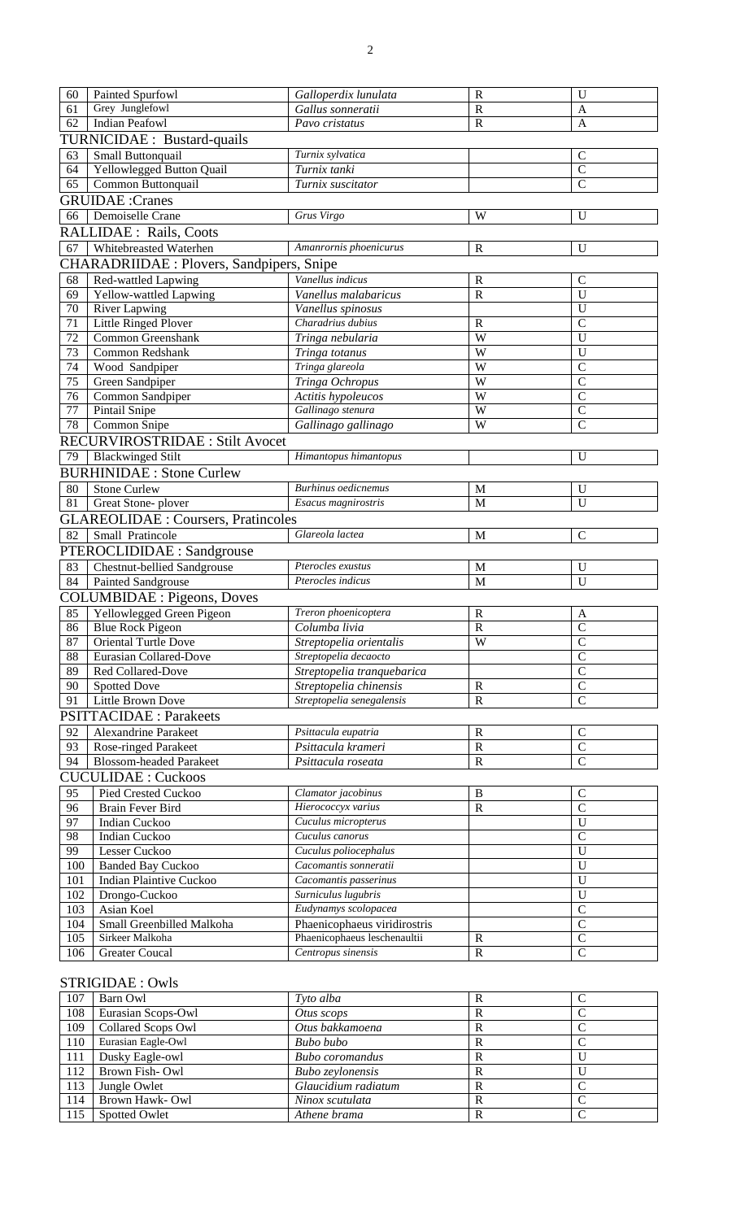| 60         | Painted Spurfowl                                 | Galloperdix lunulata                               | $\mathbf R$              | U                               |  |  |  |
|------------|--------------------------------------------------|----------------------------------------------------|--------------------------|---------------------------------|--|--|--|
| 61         | Grey Junglefowl                                  | Gallus sonneratii                                  | $\mathbf R$              | A                               |  |  |  |
| 62         | <b>Indian Peafowl</b>                            | Pavo cristatus                                     | $\mathbf R$              | $\mathbf{A}$                    |  |  |  |
|            | TURNICIDAE : Bustard-quails                      |                                                    |                          |                                 |  |  |  |
| 63         | Small Buttonquail                                | Turnix sylvatica                                   |                          | $\mathcal{C}$                   |  |  |  |
| 64         | Yellowlegged Button Quail                        | Turnix tanki                                       |                          | $\overline{C}$                  |  |  |  |
| 65         | Common Buttonquail                               | Turnix suscitator                                  |                          | $\overline{C}$                  |  |  |  |
|            | <b>GRUIDAE</b> : Cranes                          |                                                    |                          |                                 |  |  |  |
| 66         | Demoiselle Crane                                 | Grus Virgo                                         | W                        | U                               |  |  |  |
|            | <b>RALLIDAE</b> : Rails, Coots                   |                                                    |                          |                                 |  |  |  |
| 67         | Whitebreasted Waterhen                           | Amanrornis phoenicurus                             | $\mathbf R$              | U                               |  |  |  |
|            |                                                  |                                                    |                          |                                 |  |  |  |
|            | <b>CHARADRIIDAE</b> : Plovers, Sandpipers, Snipe |                                                    |                          |                                 |  |  |  |
| 68         | Red-wattled Lapwing                              | Vanellus indicus                                   | $\mathbf R$              | C                               |  |  |  |
| 69         | Yellow-wattled Lapwing                           | Vanellus malabaricus                               | $\mathbf R$              | U                               |  |  |  |
| 70         | <b>River Lapwing</b>                             | Vanellus spinosus<br>Charadrius dubius             |                          | $\mathbf{U}$                    |  |  |  |
| 71         | Little Ringed Plover                             |                                                    | $\mathbf R$              | $\mathcal{C}$                   |  |  |  |
| 72         | Common Greenshank                                | Tringa nebularia                                   | W                        | U                               |  |  |  |
| 73         | Common Redshank                                  | Tringa totanus                                     | W                        | U                               |  |  |  |
| 74         | Wood Sandpiper                                   | Tringa glareola                                    | W                        | $\mathcal{C}$                   |  |  |  |
| 75         | Green Sandpiper                                  | Tringa Ochropus                                    | W<br>W                   | $\mathcal{C}$                   |  |  |  |
| 76         | Common Sandpiper                                 | Actitis hypoleucos                                 |                          | $\mathcal{C}$                   |  |  |  |
| 77         | Pintail Snipe                                    | Gallinago stenura                                  | W<br>W                   | $\mathcal{C}$                   |  |  |  |
| 78         | Common Snipe                                     | Gallinago gallinago                                |                          | $\mathcal{C}$                   |  |  |  |
|            | <b>RECURVIROSTRIDAE : Stilt Avocet</b>           |                                                    |                          |                                 |  |  |  |
| 79         | <b>Blackwinged Stilt</b>                         | Himantopus himantopus                              |                          | U                               |  |  |  |
|            | <b>BURHINIDAE: Stone Curlew</b>                  |                                                    |                          |                                 |  |  |  |
| 80         | <b>Stone Curlew</b>                              | <b>Burhinus</b> oedicnemus                         | M                        | U                               |  |  |  |
| 81         | Great Stone-plover                               | Esacus magnirostris                                | M                        | U                               |  |  |  |
|            | <b>GLAREOLIDAE : Coursers, Pratincoles</b>       |                                                    |                          |                                 |  |  |  |
| 82         | Small Pratincole                                 | Glareola lactea                                    | M                        | $\mathbf C$                     |  |  |  |
|            | PTEROCLIDIDAE : Sandgrouse                       |                                                    |                          |                                 |  |  |  |
|            |                                                  |                                                    |                          |                                 |  |  |  |
|            |                                                  | Pterocles exustus                                  |                          |                                 |  |  |  |
| 83         | <b>Chestnut-bellied Sandgrouse</b>               | Pterocles indicus                                  | M<br>M                   | U<br>U                          |  |  |  |
| 84         | Painted Sandgrouse                               |                                                    |                          |                                 |  |  |  |
|            | <b>COLUMBIDAE</b> : Pigeons, Doves               |                                                    |                          |                                 |  |  |  |
| 85         | Yellowlegged Green Pigeon                        | Treron phoenicoptera                               | $\mathbb{R}$             | A                               |  |  |  |
| 86         | <b>Blue Rock Pigeon</b>                          | Columba livia                                      | $\mathbf R$              | $\mathsf{C}$                    |  |  |  |
| 87         | <b>Oriental Turtle Dove</b>                      | Streptopelia orientalis                            | W                        | $\overline{C}$                  |  |  |  |
| 88         | Eurasian Collared-Dove                           | Streptopelia decaocto                              |                          | $\mathcal{C}$                   |  |  |  |
| 89         | Red Collared-Dove                                | Streptopelia tranquebarica                         |                          | $\overline{C}$                  |  |  |  |
| 90         | Spotted Dove                                     | Streptopelia chinensis                             | $\mathbf R$              | $\mathcal{C}$                   |  |  |  |
| 91         | Little Brown Dove                                | Streptopelia senegalensis                          | ${\bf R}$                | $\overline{C}$                  |  |  |  |
|            | <b>PSITTACIDAE: Parakeets</b>                    |                                                    |                          |                                 |  |  |  |
| 92         | <b>Alexandrine Parakeet</b>                      | Psittacula eupatria                                | $\mathbf R$              | $\mathcal{C}$                   |  |  |  |
| 93         | Rose-ringed Parakeet                             | Psittacula krameri                                 | $\mathbf R$              | $\overline{C}$                  |  |  |  |
| 94         | <b>Blossom-headed Parakeet</b>                   | Psittacula roseata                                 | ${\bf R}$                | $\overline{C}$                  |  |  |  |
|            | <b>CUCULIDAE: Cuckoos</b>                        |                                                    |                          |                                 |  |  |  |
| 95         | Pied Crested Cuckoo                              | Clamator jacobinus                                 | $\bf{B}$                 | $\mathcal{C}$                   |  |  |  |
| 96         | <b>Brain Fever Bird</b>                          | Hierococcyx varius                                 | ${\bf R}$                | $\mathcal{C}$                   |  |  |  |
| 97         | <b>Indian Cuckoo</b>                             | Cuculus micropterus                                |                          | $\mathbf U$                     |  |  |  |
| 98         | <b>Indian Cuckoo</b>                             | Cuculus canorus                                    |                          | $\mathcal{C}$                   |  |  |  |
| 99         | Lesser Cuckoo                                    | Cuculus poliocephalus                              |                          | U                               |  |  |  |
| 100        | <b>Banded Bay Cuckoo</b>                         | Cacomantis sonneratii                              |                          | U                               |  |  |  |
| 101        | <b>Indian Plaintive Cuckoo</b>                   | Cacomantis passerinus                              |                          | U                               |  |  |  |
| 102        | Drongo-Cuckoo                                    | Surniculus lugubris                                |                          | U                               |  |  |  |
| 103        | Asian Koel                                       | Eudynamys scolopacea                               |                          | $\mathcal{C}$                   |  |  |  |
| 104        | Small Greenbilled Malkoha                        | Phaenicophaeus viridirostris                       |                          | $\mathcal{C}$                   |  |  |  |
| 105<br>106 | Sirkeer Malkoha<br><b>Greater Coucal</b>         | Phaenicophaeus leschenaultii<br>Centropus sinensis | $\mathbf R$<br>${\bf R}$ | $\mathcal{C}$<br>$\overline{C}$ |  |  |  |

# STRIGIDAE : Owls

| 107 | Barn Owl             | Tyto alba              | R |  |
|-----|----------------------|------------------------|---|--|
| 108 | Eurasian Scops-Owl   | Otus scops             | R |  |
| 109 | Collared Scops Owl   | Otus bakkamoena        | R |  |
| 110 | Eurasian Eagle-Owl   | Bubo bubo              | R |  |
| 111 | Dusky Eagle-owl      | <b>Bubo</b> coromandus | R |  |
| 112 | Brown Fish-Owl       | Bubo zeylonensis       | R |  |
| 113 | Jungle Owlet         | Glaucidium radiatum    | R |  |
| 114 | Brown Hawk-Owl       | Ninox scutulata        | R |  |
| 115 | <b>Spotted Owlet</b> | Athene brama           | R |  |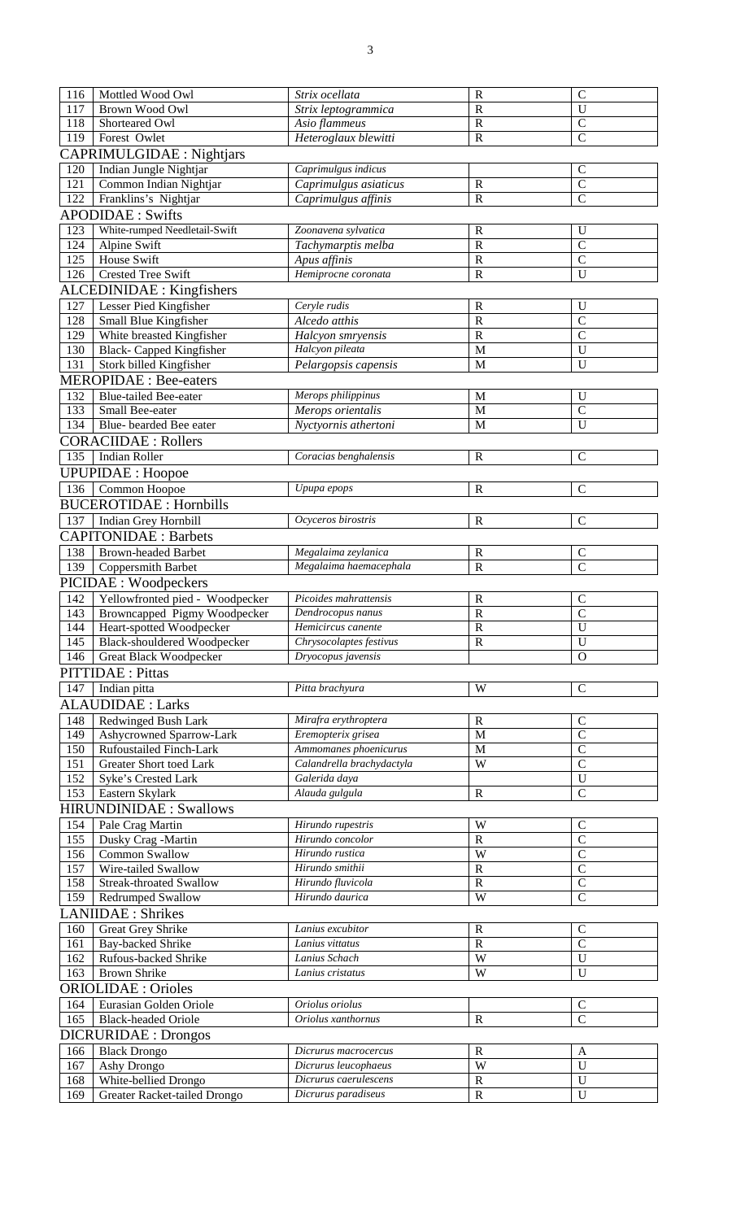| 116 | Mottled Wood Owl                   | Strix ocellata            | $\mathbb{R}$ | $\mathsf{C}$       |  |  |  |
|-----|------------------------------------|---------------------------|--------------|--------------------|--|--|--|
| 117 | Brown Wood Owl                     | Strix leptogrammica       | $\mathbf R$  | $\overline{U}$     |  |  |  |
| 118 | Shorteared Owl                     | Asio flammeus             | $\mathbb{R}$ | $\mathcal{C}$      |  |  |  |
| 119 | Forest Owlet                       | Heteroglaux blewitti      | $\mathbf R$  | $\overline{C}$     |  |  |  |
|     | <b>CAPRIMULGIDAE</b> : Nightjars   |                           |              |                    |  |  |  |
| 120 | Indian Jungle Nightjar             | Caprimulgus indicus       |              | $\mathcal{C}$      |  |  |  |
| 121 | Common Indian Nightjar             | Caprimulgus asiaticus     | $\mathbf R$  | $\overline{C}$     |  |  |  |
| 122 | Franklins's Nightjar               | Caprimulgus affinis       | $\mathbf R$  | $\overline{C}$     |  |  |  |
|     | <b>APODIDAE</b> : Swifts           |                           |              |                    |  |  |  |
| 123 | White-rumped Needletail-Swift      | Zoonavena sylvatica       | $\mathbf R$  | U                  |  |  |  |
| 124 | Alpine Swift                       | Tachymarptis melba        | $\mathbf R$  | $\overline{C}$     |  |  |  |
| 125 | House Swift                        | Apus affinis              | $\mathbf R$  | $\overline{C}$     |  |  |  |
| 126 | <b>Crested Tree Swift</b>          | Hemiprocne coronata       | $\mathbf R$  | U                  |  |  |  |
|     | <b>ALCEDINIDAE</b> : Kingfishers   |                           |              |                    |  |  |  |
|     |                                    | Ceryle rudis              |              |                    |  |  |  |
| 127 | Lesser Pied Kingfisher             |                           | $\mathbf R$  | U<br>$\mathcal{C}$ |  |  |  |
| 128 | Small Blue Kingfisher              | Alcedo atthis             | $\mathbf R$  | $\overline{C}$     |  |  |  |
| 129 | White breasted Kingfisher          | Halcyon smryensis         | $\mathbf R$  |                    |  |  |  |
| 130 | Black- Capped Kingfisher           | Halcyon pileata           | M<br>M       | U<br>U             |  |  |  |
| 131 | Stork billed Kingfisher            | Pelargopsis capensis      |              |                    |  |  |  |
|     | <b>MEROPIDAE</b> : Bee-eaters      |                           |              |                    |  |  |  |
| 132 | <b>Blue-tailed Bee-eater</b>       | Merops philippinus        | M            | U                  |  |  |  |
| 133 | Small Bee-eater                    | Merops orientalis         | M            | $\mathcal{C}$      |  |  |  |
| 134 | Blue-bearded Bee eater             | Nyctyornis athertoni      | M            | U                  |  |  |  |
|     | <b>CORACIIDAE : Rollers</b>        |                           |              |                    |  |  |  |
| 135 | Indian Roller                      | Coracias benghalensis     | $\mathbf R$  | $\mathsf{C}$       |  |  |  |
|     | <b>UPUPIDAE: Hoopoe</b>            |                           |              |                    |  |  |  |
| 136 | Common Hoopoe                      | Upupa epops               | $\mathbb{R}$ | $\overline{C}$     |  |  |  |
|     | <b>BUCEROTIDAE: Hornbills</b>      |                           |              |                    |  |  |  |
| 137 | Indian Grey Hornbill               | Ocyceros birostris        | $\mathbf R$  | $\mathsf{C}$       |  |  |  |
|     |                                    |                           |              |                    |  |  |  |
|     | <b>CAPITONIDAE: Barbets</b>        |                           |              |                    |  |  |  |
| 138 | <b>Brown-headed Barbet</b>         | Megalaima zeylanica       | $\mathbf R$  | $\mathsf{C}$       |  |  |  |
| 139 | Coppersmith Barbet                 | Megalaima haemacephala    | $\mathbf R$  | $\overline{C}$     |  |  |  |
|     | PICIDAE : Woodpeckers              |                           |              |                    |  |  |  |
| 142 | Yellowfronted pied - Woodpecker    | Picoides mahrattensis     | $\mathbf R$  | $\mathcal{C}$      |  |  |  |
| 143 | Browncapped Pigmy Woodpecker       | Dendrocopus nanus         | $\mathbf R$  | $\overline{C}$     |  |  |  |
| 144 | Heart-spotted Woodpecker           | Hemicircus canente        | $\mathbf R$  | $\overline{U}$     |  |  |  |
| 145 | <b>Black-shouldered Woodpecker</b> | Chrysocolaptes festivus   | $\mathbb{R}$ | $\mathbf U$        |  |  |  |
| 146 | Great Black Woodpecker             | Dryocopus javensis        |              | $\mathbf{O}$       |  |  |  |
|     | <b>PITTIDAE</b> : Pittas           |                           |              |                    |  |  |  |
| 147 | Indian pitta                       | Pitta brachyura           | W            | $\mathsf{C}$       |  |  |  |
|     | <b>ALAUDIDAE</b> : Larks           |                           |              |                    |  |  |  |
| 148 | Redwinged Bush Lark                | Mirafra erythroptera      | $\mathbf R$  | $\mathcal{C}$      |  |  |  |
| 149 | Ashycrowned Sparrow-Lark           | Eremopterix grisea        | M            | $\overline{C}$     |  |  |  |
| 150 | Rufoustailed Finch-Lark            | Ammomanes phoenicurus     | $\mathbf M$  | $\overline{C}$     |  |  |  |
| 151 | Greater Short toed Lark            | Calandrella brachydactyla | W            | $\overline{C}$     |  |  |  |
| 152 | Syke's Crested Lark                | Galerida daya             |              | $\mathbf U$        |  |  |  |
| 153 | Eastern Skylark                    | Alauda gulgula            | $\mathbf R$  | $\overline{C}$     |  |  |  |
|     | <b>HIRUNDINIDAE: Swallows</b>      |                           |              |                    |  |  |  |
| 154 | Pale Crag Martin                   | Hirundo rupestris         | W            | $\mathcal{C}$      |  |  |  |
| 155 | Dusky Crag -Martin                 | Hirundo concolor          | $\mathbb{R}$ | $\overline{C}$     |  |  |  |
| 156 | Common Swallow                     | Hirundo rustica           | W            | $\overline{C}$     |  |  |  |
| 157 | Wire-tailed Swallow                | Hirundo smithii           | $\mathbf R$  | $\overline{C}$     |  |  |  |
| 158 | <b>Streak-throated Swallow</b>     | Hirundo fluvicola         | $\mathbf R$  | $\overline{C}$     |  |  |  |
| 159 |                                    | Hirundo daurica           | W            | $\overline{C}$     |  |  |  |
|     | Redrumped Swallow                  |                           |              |                    |  |  |  |
|     | <b>LANIIDAE</b> : Shrikes          |                           |              |                    |  |  |  |
| 160 | <b>Great Grey Shrike</b>           | Lanius excubitor          | $\mathbf R$  | $\mathbf C$        |  |  |  |
| 161 | Bay-backed Shrike                  | Lanius vittatus           | $\mathbf R$  | $\mathcal{C}$      |  |  |  |
| 162 | Rufous-backed Shrike               | Lanius Schach             | W            | U                  |  |  |  |
| 163 | <b>Brown Shrike</b>                | Lanius cristatus          | W            | $\mathbf U$        |  |  |  |
|     | <b>ORIOLIDAE: Orioles</b>          |                           |              |                    |  |  |  |
| 164 | Eurasian Golden Oriole             | Oriolus oriolus           |              | $\mathbf C$        |  |  |  |
| 165 | <b>Black-headed Oriole</b>         | Oriolus xanthornus        | $\mathbb{R}$ | $\overline{C}$     |  |  |  |
|     | <b>DICRURIDAE : Drongos</b>        |                           |              |                    |  |  |  |
| 166 | <b>Black Drongo</b>                | Dicrurus macrocercus      | $\mathbf R$  | A                  |  |  |  |
| 167 | Ashy Drongo                        | Dicrurus leucophaeus      | W            | $\mathbf U$        |  |  |  |
| 168 | White-bellied Drongo               | Dicrurus caerulescens     | $\mathbf R$  | U                  |  |  |  |
| 169 | Greater Racket-tailed Drongo       | Dicrurus paradiseus       | $\mathbf R$  | $\mathbf U$        |  |  |  |
|     |                                    |                           |              |                    |  |  |  |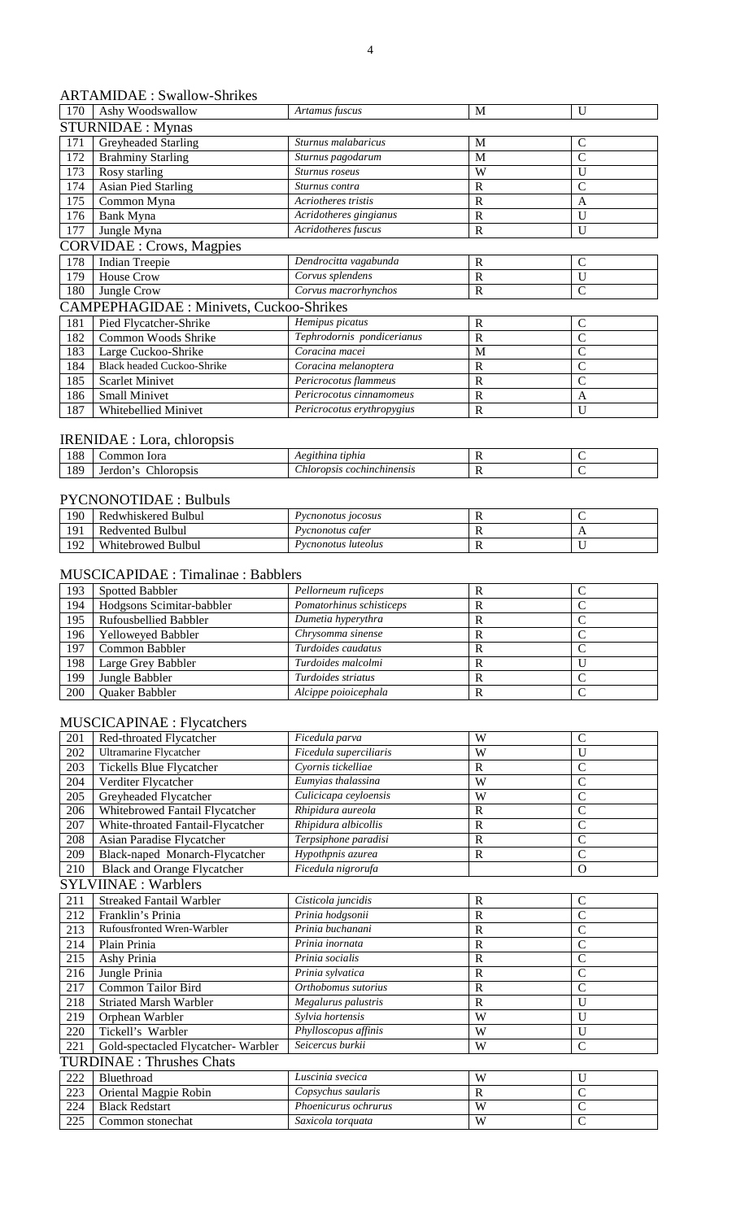## ARTAMIDAE : Swallow-Shrikes

| 170 | Ashy Woodswallow                               | Artamus fuscus             | M            | $\mathbf{U}$  |  |  |  |
|-----|------------------------------------------------|----------------------------|--------------|---------------|--|--|--|
|     | <b>STURNIDAE:</b> Mynas                        |                            |              |               |  |  |  |
| 171 | Greyheaded Starling                            | Sturnus malabaricus        | M            | $\mathcal{C}$ |  |  |  |
| 172 | <b>Brahminy Starling</b>                       | Sturnus pagodarum          | M            | $\mathcal{C}$ |  |  |  |
| 173 | Rosy starling                                  | Sturnus roseus             | W            | U             |  |  |  |
| 174 | <b>Asian Pied Starling</b>                     | Sturnus contra             | R            | C             |  |  |  |
| 175 | Common Myna                                    | Acriotheres tristis        | $\mathbf R$  | A             |  |  |  |
| 176 | Bank Myna                                      | Acridotheres gingianus     | R            | U             |  |  |  |
| 177 | Jungle Myna                                    | Acridotheres fuscus        | R            | $\mathbf{U}$  |  |  |  |
|     | <b>CORVIDAE</b> : Crows, Magpies               |                            |              |               |  |  |  |
| 178 | <b>Indian Treepie</b>                          | Dendrocitta vagabunda      | R            | $\mathsf{C}$  |  |  |  |
| 179 | <b>House Crow</b>                              | Corvus splendens           | $\mathbb{R}$ | $\mathbf{U}$  |  |  |  |
| 180 | Jungle Crow                                    | Corvus macrorhynchos       | $\mathbf R$  | $\mathcal{C}$ |  |  |  |
|     | <b>CAMPEPHAGIDAE: Minivets, Cuckoo-Shrikes</b> |                            |              |               |  |  |  |
| 181 | Pied Flycatcher-Shrike                         | Hemipus picatus            | $\mathbb{R}$ | $\mathsf{C}$  |  |  |  |
| 182 | Common Woods Shrike                            | Tephrodornis pondicerianus | R            | $\mathcal{C}$ |  |  |  |
| 183 | Large Cuckoo-Shrike                            | Coracina macei             | M            | $\mathbf C$   |  |  |  |
| 184 | <b>Black headed Cuckoo-Shrike</b>              | Coracina melanoptera       | $\mathbb{R}$ | $\mathsf{C}$  |  |  |  |
| 185 | <b>Scarlet Minivet</b>                         | Pericrocotus flammeus      | $\mathbb{R}$ | $\mathsf{C}$  |  |  |  |
| 186 | <b>Small Minivet</b>                           | Pericrocotus cinnamomeus   | R            | A             |  |  |  |
| 187 | Whitebellied Minivet                           | Pericrocotus erythropygius | R            | $\mathbf{U}$  |  |  |  |

# IRENIDAE : Lora, chloropsis

| 100<br>100 | Iora<br>ımor                           | tiphia<br>$A^{\rho\sigma}$<br>---<br>eunna  | . . |  |
|------------|----------------------------------------|---------------------------------------------|-----|--|
| 189        | .10r<br><b>CHOMOS</b><br>Δrd<br>TODSIS | $\sim$<br>aransı<br>cochinchinensis<br>wrov | .,  |  |

## PYCNONOTIDAE : Bulbuls

| 190        | Redwhiskered Bulbul     | Pycnonotus 10cosus  | - |     |
|------------|-------------------------|---------------------|---|-----|
| 101        | Redvented Bulbul        | Pycnonotus cater    |   | . . |
| 1ດາ<br>174 | Whitebrowed<br>' Bulbul | Pycnonotus luteolus |   |     |

#### MUSCICAPIDAE : Timalinae : Babblers

| 193 | <b>Spotted Babbler</b>    | Pellorneum ruficeps      | ĸ |  |
|-----|---------------------------|--------------------------|---|--|
| 194 | Hodgsons Scimitar-babbler | Pomatorhinus schisticeps |   |  |
| 195 | Rufousbellied Babbler     | Dumetia hyperythra       |   |  |
| 196 | <b>Yelloweved Babbler</b> | Chrysomma sinense        | ĸ |  |
| 197 | Common Babbler            | Turdoides caudatus       |   |  |
| 198 | Large Grey Babbler        | Turdoides malcolmi       | л |  |
| 199 | Jungle Babbler            | Turdoides striatus       | ĸ |  |
| 200 | Quaker Babbler            | Alcippe poioicephala     |   |  |

#### MUSCICAPINAE : Flycatchers

| 201 | Red-throated Flycatcher            | Ficedula parva         | W                     | $\mathcal{C}$  |  |  |
|-----|------------------------------------|------------------------|-----------------------|----------------|--|--|
| 202 | <b>Ultramarine Flycatcher</b>      | Ficedula superciliaris | W                     | U              |  |  |
| 203 | Tickells Blue Flycatcher           | Cyornis tickelliae     | $\mathbf R$           | $\overline{C}$ |  |  |
| 204 | Verditer Flycatcher                | Eumyias thalassina     | W                     | $\overline{C}$ |  |  |
| 205 | Greyheaded Flycatcher              | Culicicapa ceyloensis  | W                     | $\mathbf C$    |  |  |
| 206 | Whitebrowed Fantail Flycatcher     | Rhipidura aureola      | $\mathbf R$           | $\overline{C}$ |  |  |
| 207 | White-throated Fantail-Flycatcher  | Rhipidura albicollis   | $\mathbf R$           | $\overline{C}$ |  |  |
| 208 | Asian Paradise Flycatcher          | Terpsiphone paradisi   | $\mathbb{R}$          | $\overline{C}$ |  |  |
| 209 | Black-naped Monarch-Flycatcher     | Hypothpnis azurea      | $\overline{\text{R}}$ | $\overline{C}$ |  |  |
| 210 | <b>Black and Orange Flycatcher</b> | Ficedula nigrorufa     |                       | $\mathbf{O}$   |  |  |
|     | <b>SYLVIINAE: Warblers</b>         |                        |                       |                |  |  |
| 211 | <b>Streaked Fantail Warbler</b>    | Cisticola juncidis     | $\mathbf R$           | $\mathcal{C}$  |  |  |
| 212 | Franklin's Prinia                  | Prinia hodgsonii       | $\mathbf R$           | $\bar{C}$      |  |  |
| 213 | Rufousfronted Wren-Warbler         | Prinia buchanani       | $\mathbf R$           | $\mathbf C$    |  |  |
| 214 | Plain Prinia                       | Prinia inornata        | $\mathbf R$           | $\overline{C}$ |  |  |
| 215 | Ashy Prinia                        | Prinia socialis        | $\mathbb{R}$          | $\overline{C}$ |  |  |
| 216 | Jungle Prinia                      | Prinia sylvatica       | $\mathbb{R}$          | $\overline{C}$ |  |  |
| 217 | <b>Common Tailor Bird</b>          | Orthobomus sutorius    | $\mathbf R$           | $\overline{C}$ |  |  |
| 218 | <b>Striated Marsh Warbler</b>      | Megalurus palustris    | $\mathbf R$           | U              |  |  |
| 219 | Orphean Warbler                    | Sylvia hortensis       | W                     | U              |  |  |
| 220 | Tickell's Warbler                  | Phylloscopus affinis   | W                     | U              |  |  |
| 221 | Gold-spectacled Flycatcher-Warbler | Seicercus burkii       | W                     | $\overline{C}$ |  |  |
|     | <b>TURDINAE: Thrushes Chats</b>    |                        |                       |                |  |  |
| 222 | Bluethroad                         | Luscinia svecica       | W                     | U              |  |  |
| 223 | Oriental Magpie Robin              | Copsychus saularis     | $\overline{R}$        | $\overline{C}$ |  |  |
| 224 | <b>Black Redstart</b>              | Phoenicurus ochrurus   | W                     | $\overline{C}$ |  |  |
| 225 | Common stonechat                   | Saxicola torquata      | W                     | $\mathsf{C}$   |  |  |